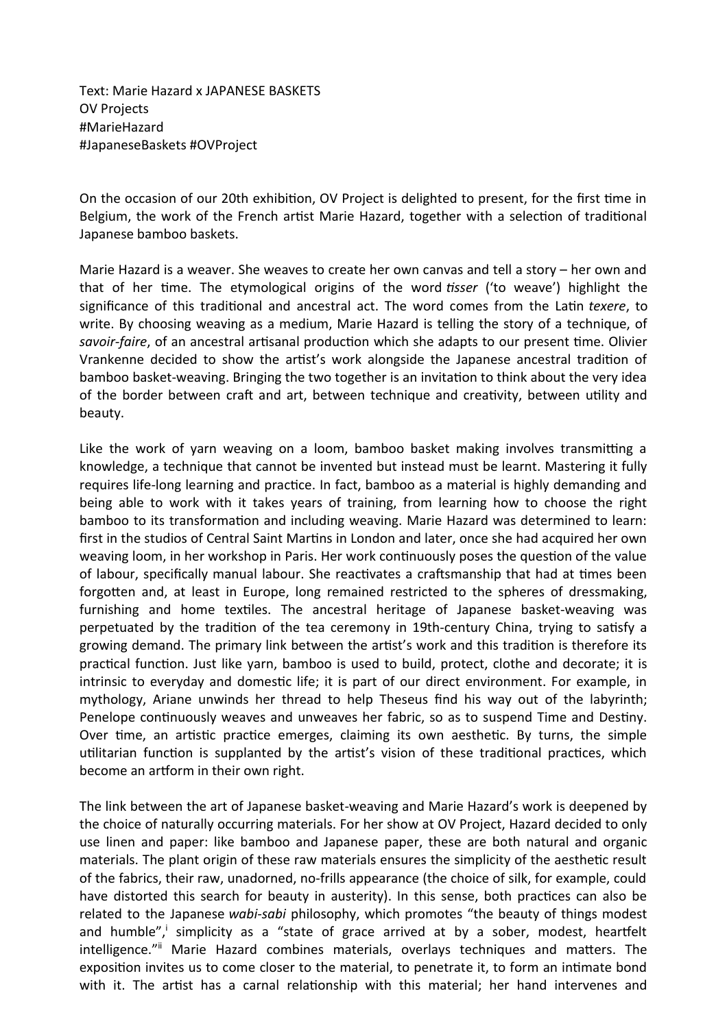Text: Marie Hazard x JAPANESE BASKETS OV Projects #MarieHazard #JapaneseBaskets #OVProject

On the occasion of our 20th exhibiton, OV Project is delighted to present, for the frst tme in Belgium, the work of the French artist Marie Hazard, together with a selection of traditional Japanese bamboo baskets.

Marie Hazard is a weaver. She weaves to create her own canvas and tell a story – her own and that of her tme. The etymological origins of the word *tsser* ('to weave') highlight the significance of this traditional and ancestral act. The word comes from the Latin *texere*, to write. By choosing weaving as a medium, Marie Hazard is telling the story of a technique, of savoir-faire, of an ancestral artisanal production which she adapts to our present time. Olivier Vrankenne decided to show the artst's work alongside the Japanese ancestral traditon of bamboo basket-weaving. Bringing the two together is an invitation to think about the very idea of the border between craft and art, between technique and creativity, between utility and beauty.

Like the work of yarn weaving on a loom, bamboo basket making involves transmitting a knowledge, a technique that cannot be invented but instead must be learnt. Mastering it fully requires life-long learning and practice. In fact, bamboo as a material is highly demanding and being able to work with it takes years of training, from learning how to choose the right bamboo to its transformation and including weaving. Marie Hazard was determined to learn: first in the studios of Central Saint Martins in London and later, once she had acquired her own weaving loom, in her workshop in Paris. Her work continuously poses the question of the value of labour, specifically manual labour. She reactivates a craftsmanship that had at times been forgoten and, at least in Europe, long remained restricted to the spheres of dressmaking, furnishing and home textiles. The ancestral heritage of Japanese basket-weaving was perpetuated by the tradition of the tea ceremony in 19th-century China, trying to satisfy a growing demand. The primary link between the artst's work and this traditon is therefore its practical function. Just like yarn, bamboo is used to build, protect, clothe and decorate; it is intrinsic to everyday and domestic life; it is part of our direct environment. For example, in mythology, Ariane unwinds her thread to help Theseus fnd his way out of the labyrinth; Penelope continuously weaves and unweaves her fabric, so as to suspend Time and Destiny. Over time, an artistic practice emerges, claiming its own aesthetic. By turns, the simple utilitarian function is supplanted by the artist's vision of these traditional practices, which become an artform in their own right.

The link between the art of Japanese basket-weaving and Marie Hazard's work is deepened by the choice of naturally occurring materials. For her show at OV Project, Hazard decided to only use linen and paper: like bamboo and Japanese paper, these are both natural and organic materials. The plant origin of these raw materials ensures the simplicity of the aesthetic result of the fabrics, their raw, unadorned, no-frills appearance (the choice of silk, for example, could have distorted this search for beauty in austerity). In this sense, both practices can also be related to the Japanese *wabi-sabi* philosophy, which promotes "the beauty of things modest and humble",<sup>[i](#page-2-0)</sup> simplicity as a "state of grace arrived at by a sober, modest, heartfelt intelligence."<sup>[ii](#page-2-1)</sup> Marie Hazard combines materials, overlays techniques and matters. The expositon invites us to come closer to the material, to penetrate it, to form an intmate bond with it. The artist has a carnal relationship with this material; her hand intervenes and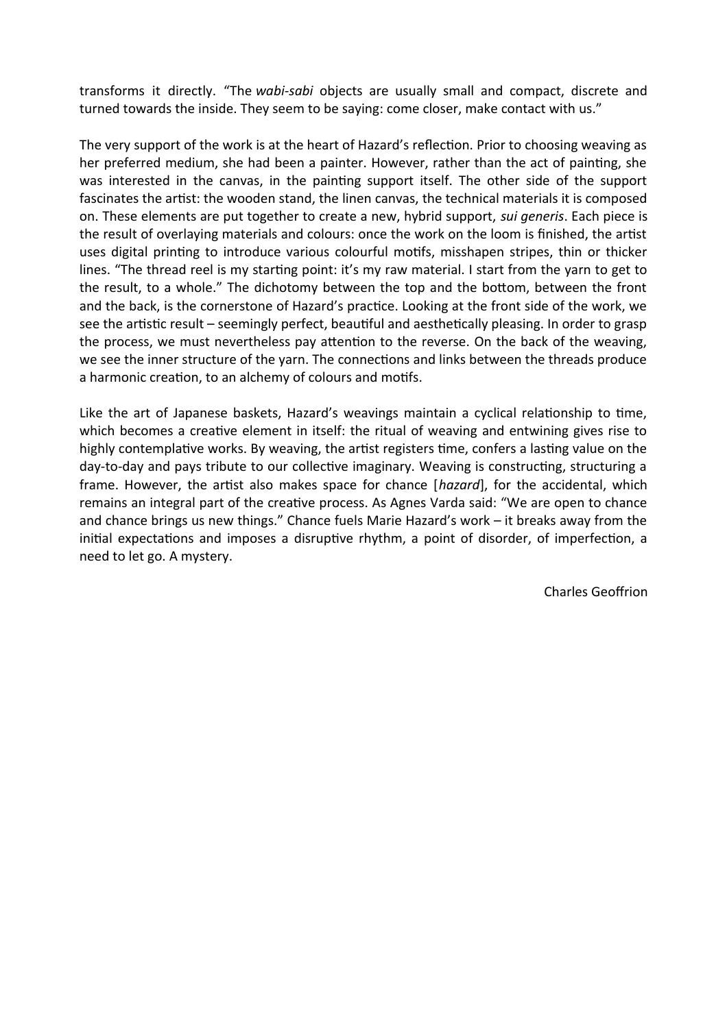transforms it directly. "The *wabi-sabi* objects are usually small and compact, discrete and turned towards the inside. They seem to be saying: come closer, make contact with us."

The very support of the work is at the heart of Hazard's reflection. Prior to choosing weaving as her preferred medium, she had been a painter. However, rather than the act of painting, she was interested in the canvas, in the painting support itself. The other side of the support fascinates the artist: the wooden stand, the linen canvas, the technical materials it is composed on. These elements are put together to create a new, hybrid support, *sui generis*. Each piece is the result of overlaying materials and colours: once the work on the loom is finished, the artist uses digital printng to introduce various colourful motfs, misshapen stripes, thin or thicker lines. "The thread reel is my starting point: it's my raw material. I start from the yarn to get to the result, to a whole." The dichotomy between the top and the botom, between the front and the back, is the cornerstone of Hazard's practice. Looking at the front side of the work, we see the artistic result - seemingly perfect, beautiful and aesthetically pleasing. In order to grasp the process, we must nevertheless pay atenton to the reverse. On the back of the weaving, we see the inner structure of the yarn. The connections and links between the threads produce a harmonic creation, to an alchemy of colours and motifs.

Like the art of Japanese baskets, Hazard's weavings maintain a cyclical relatonship to tme, which becomes a creative element in itself: the ritual of weaving and entwining gives rise to highly contemplative works. By weaving, the artist registers time, confers a lasting value on the day-to-day and pays tribute to our collective imaginary. Weaving is constructing, structuring a frame. However, the artist also makes space for chance [*hazard*], for the accidental, which remains an integral part of the creative process. As Agnes Varda said: "We are open to chance and chance brings us new things." Chance fuels Marie Hazard's work – it breaks away from the initial expectations and imposes a disruptive rhythm, a point of disorder, of imperfection, a need to let go. A mystery.

Charles Geofrion